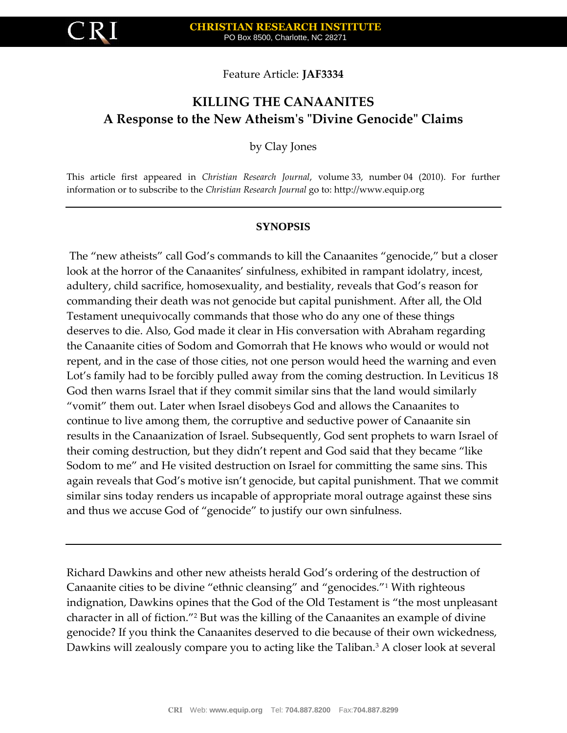

Feature Article: **JAF3334**

# **KILLING THE CANAANITES A Response to the New Atheism's "Divine Genocide" Claims**

by Clay Jones

This article first appeared in *Christian Research Journal*, volume 33, number 04 (2010). For further information or to subscribe to the *Christian Research Journal* go to: [http://www.equip.org](http://www.equip.org/)

## **SYNOPSIS**

The "new atheists" call God's commands to kill the Canaanites "genocide," but a closer look at the horror of the Canaanites' sinfulness, exhibited in rampant idolatry, incest, adultery, child sacrifice, homosexuality, and bestiality, reveals that God's reason for commanding their death was not genocide but capital punishment. After all, the Old Testament unequivocally commands that those who do any one of these things deserves to die. Also, God made it clear in His conversation with Abraham regarding the Canaanite cities of Sodom and Gomorrah that He knows who would or would not repent, and in the case of those cities, not one person would heed the warning and even Lot's family had to be forcibly pulled away from the coming destruction. In Leviticus 18 God then warns Israel that if they commit similar sins that the land would similarly "vomit" them out. Later when Israel disobeys God and allows the Canaanites to continue to live among them, the corruptive and seductive power of Canaanite sin results in the Canaanization of Israel. Subsequently, God sent prophets to warn Israel of their coming destruction, but they didn't repent and God said that they became "like Sodom to me" and He visited destruction on Israel for committing the same sins. This again reveals that God's motive isn't genocide, but capital punishment. That we commit similar sins today renders us incapable of appropriate moral outrage against these sins and thus we accuse God of "genocide" to justify our own sinfulness.

Richard Dawkins and other new atheists herald God's ordering of the destruction of Canaanite cities to be divine "ethnic cleansing" and "genocides."<sup>1</sup> With righteous indignation, Dawkins opines that the God of the Old Testament is "the most unpleasant character in all of fiction."<sup>2</sup> But was the killing of the Canaanites an example of divine genocide? If you think the Canaanites deserved to die because of their own wickedness, Dawkins will zealously compare you to acting like the Taliban.<sup>3</sup> A closer look at several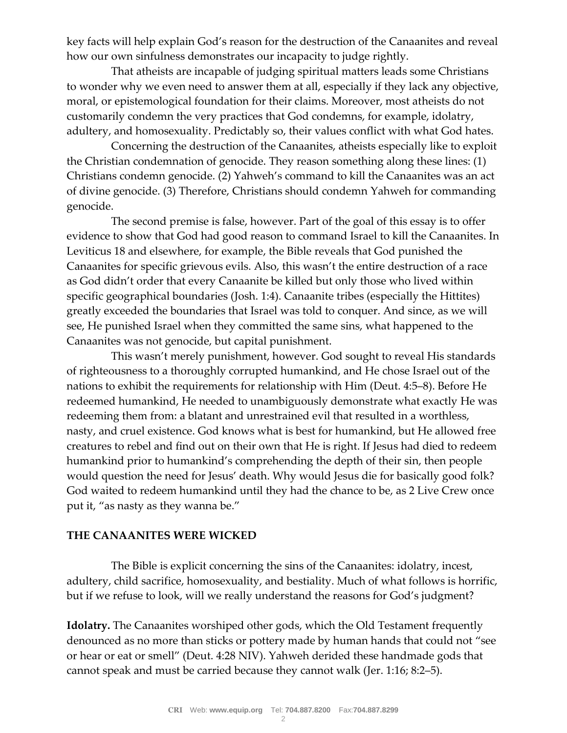key facts will help explain God's reason for the destruction of the Canaanites and reveal how our own sinfulness demonstrates our incapacity to judge rightly.

 That atheists are incapable of judging spiritual matters leads some Christians to wonder why we even need to answer them at all, especially if they lack any objective, moral, or epistemological foundation for their claims. Moreover, most atheists do not customarily condemn the very practices that God condemns, for example, idolatry, adultery, and homosexuality. Predictably so, their values conflict with what God hates.

 Concerning the destruction of the Canaanites, atheists especially like to exploit the Christian condemnation of genocide. They reason something along these lines: (1) Christians condemn genocide. (2) Yahweh's command to kill the Canaanites was an act of divine genocide. (3) Therefore, Christians should condemn Yahweh for commanding genocide.

 The second premise is false, however. Part of the goal of this essay is to offer evidence to show that God had good reason to command Israel to kill the Canaanites. In Leviticus 18 and elsewhere, for example, the Bible reveals that God punished the Canaanites for specific grievous evils. Also, this wasn't the entire destruction of a race as God didn't order that every Canaanite be killed but only those who lived within specific geographical boundaries [\(Josh. 1:4\)](http://biblia.com/bible/nkjv/Josh.%201.4). Canaanite tribes (especially the Hittites) greatly exceeded the boundaries that Israel was told to conquer. And since, as we will see, He punished Israel when they committed the same sins, what happened to the Canaanites was not genocide, but capital punishment.

 This wasn't merely punishment, however. God sought to reveal His standards of righteousness to a thoroughly corrupted humankind, and He chose Israel out of the nations to exhibit the requirements for relationship with Him [\(Deut. 4:5](http://biblia.com/bible/nkjv/Deut.%204.5%25E2%2580%25938)–8). Before He redeemed humankind, He needed to unambiguously demonstrate what exactly He was redeeming them from: a blatant and unrestrained evil that resulted in a worthless, nasty, and cruel existence. God knows what is best for humankind, but He allowed free creatures to rebel and find out on their own that He is right. If Jesus had died to redeem humankind prior to humankind's comprehending the depth of their sin, then people would question the need for Jesus' death. Why would Jesus die for basically good folk? God waited to redeem humankind until they had the chance to be, as 2 Live Crew once put it, "as nasty as they wanna be."

## **THE CANAANITES WERE WICKED**

 The Bible is explicit concerning the sins of the Canaanites: idolatry, incest, adultery, child sacrifice, homosexuality, and bestiality. Much of what follows is horrific, but if we refuse to look, will we really understand the reasons for God's judgment?

**Idolatry.** The Canaanites worshiped other gods, which the Old Testament frequently denounced as no more than sticks or pottery made by human hands that could not "see or hear or eat or smell" ([Deut. 4:28 NIV\)](http://biblia.com/bible/niv/Deut.%204.28). Yahweh derided these handmade gods that cannot speak and must be carried because they cannot walk [\(Jer. 1:16;](http://biblia.com/bible/nkjv/Jer.%201.16) [8:2](http://biblia.com/bible/nkjv/Jer%208.2%25E2%2580%25935)–5).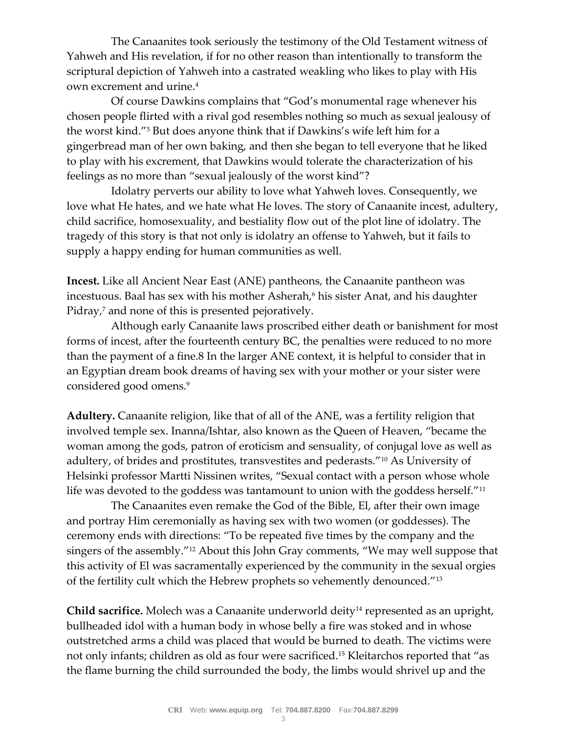The Canaanites took seriously the testimony of the Old Testament witness of Yahweh and His revelation, if for no other reason than intentionally to transform the scriptural depiction of Yahweh into a castrated weakling who likes to play with His own excrement and urine.<sup>4</sup>

 Of course Dawkins complains that "God's monumental rage whenever his chosen people flirted with a rival god resembles nothing so much as sexual jealousy of the worst kind."<sup>5</sup> But does anyone think that if Dawkins's wife left him for a gingerbread man of her own baking, and then she began to tell everyone that he liked to play with his excrement, that Dawkins would tolerate the characterization of his feelings as no more than "sexual jealously of the worst kind"?

 Idolatry perverts our ability to love what Yahweh loves. Consequently, we love what He hates, and we hate what He loves. The story of Canaanite incest, adultery, child sacrifice, homosexuality, and bestiality flow out of the plot line of idolatry. The tragedy of this story is that not only is idolatry an offense to Yahweh, but it fails to supply a happy ending for human communities as well.

**Incest.** Like all Ancient Near East (ANE) pantheons, the Canaanite pantheon was incestuous. Baal has sex with his mother Asherah,<sup>6</sup> his sister Anat, and his daughter Pidray,<sup>7</sup> and none of this is presented pejoratively.

 Although early Canaanite laws proscribed either death or banishment for most forms of incest, after the fourteenth century BC, the penalties were reduced to no more than the payment of a fine.8 In the larger ANE context, it is helpful to consider that in an Egyptian dream book dreams of having sex with your mother or your sister were considered good omens.<sup>9</sup>

**Adultery.** Canaanite religion, like that of all of the ANE, was a fertility religion that involved temple sex. Inanna/Ishtar, also known as the Queen of Heaven, "became the woman among the gods, patron of eroticism and sensuality, of conjugal love as well as adultery, of brides and prostitutes, transvestites and pederasts."<sup>10</sup> As University of Helsinki professor Martti Nissinen writes, "Sexual contact with a person whose whole life was devoted to the goddess was tantamount to union with the goddess herself."<sup>11</sup>

 The Canaanites even remake the God of the Bible, El, after their own image and portray Him ceremonially as having sex with two women (or goddesses). The ceremony ends with directions: "To be repeated five times by the company and the singers of the assembly."<sup>12</sup> About this John Gray comments, "We may well suppose that this activity of El was sacramentally experienced by the community in the sexual orgies of the fertility cult which the Hebrew prophets so vehemently denounced."<sup>13</sup>

**Child sacrifice.** Molech was a Canaanite underworld deity<sup>14</sup> represented as an upright, bullheaded idol with a human body in whose belly a fire was stoked and in whose outstretched arms a child was placed that would be burned to death. The victims were not only infants; children as old as four were sacrificed.<sup>15</sup> Kleitarchos reported that "as the flame burning the child surrounded the body, the limbs would shrivel up and the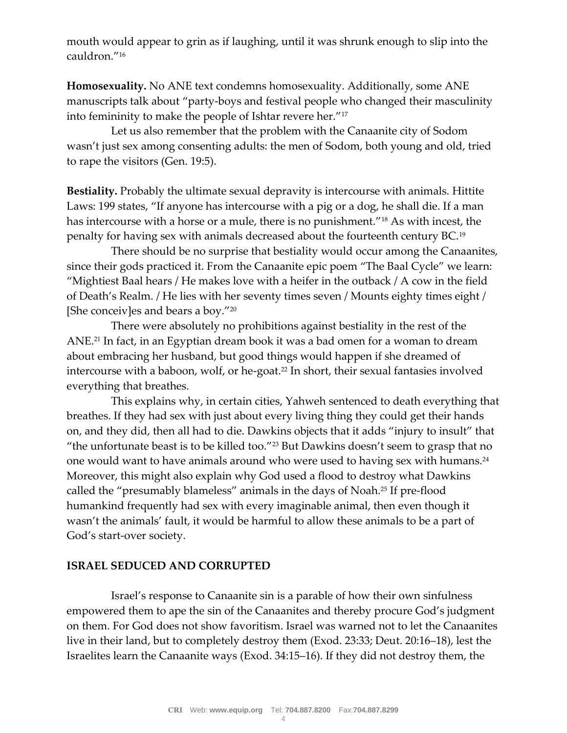mouth would appear to grin as if laughing, until it was shrunk enough to slip into the cauldron."<sup>16</sup>

**Homosexuality.** No ANE text condemns homosexuality. Additionally, some ANE manuscripts talk about "party-boys and festival people who changed their masculinity into femininity to make the people of Ishtar revere her."<sup>17</sup>

 Let us also remember that the problem with the Canaanite city of Sodom wasn't just sex among consenting adults: the men of Sodom, both young and old, tried to rape the visitors [\(Gen. 19:5\)](http://biblia.com/bible/nkjv/Gen.%2019.5).

**Bestiality.** Probably the ultimate sexual depravity is intercourse with animals. Hittite Laws: 199 states, "If anyone has intercourse with a pig or a dog, he shall die. If a man has intercourse with a horse or a mule, there is no punishment."<sup>18</sup> As with incest, the penalty for having sex with animals decreased about the fourteenth century BC.<sup>19</sup>

 There should be no surprise that bestiality would occur among the Canaanites, since their gods practiced it. From the Canaanite epic poem "The Baal Cycle" we learn: "Mightiest Baal hears / He makes love with a heifer in the outback / A cow in the field of Death's Realm. / He lies with her seventy times seven / Mounts eighty times eight / [She conceiv]es and bears a boy."<sup>20</sup>

 There were absolutely no prohibitions against bestiality in the rest of the ANE<sup>21</sup> In fact, in an Egyptian dream book it was a bad omen for a woman to dream about embracing her husband, but good things would happen if she dreamed of intercourse with a baboon, wolf, or he-goat.<sup>22</sup> In short, their sexual fantasies involved everything that breathes.

 This explains why, in certain cities, Yahweh sentenced to death everything that breathes. If they had sex with just about every living thing they could get their hands on, and they did, then all had to die. Dawkins objects that it adds "injury to insult" that "the unfortunate beast is to be killed too."<sup>23</sup> But Dawkins doesn't seem to grasp that no one would want to have animals around who were used to having sex with humans.<sup>24</sup> Moreover, this might also explain why God used a flood to destroy what Dawkins called the "presumably blameless" animals in the days of Noah.<sup>25</sup> If pre-flood humankind frequently had sex with every imaginable animal, then even though it wasn't the animals' fault, it would be harmful to allow these animals to be a part of God's start-over society.

## **ISRAEL SEDUCED AND CORRUPTED**

 Israel's response to Canaanite sin is a parable of how their own sinfulness empowered them to ape the sin of the Canaanites and thereby procure God's judgment on them. For God does not show favoritism. Israel was warned not to let the Canaanites live in their land, but to completely destroy them [\(Exod. 23:33;](http://biblia.com/bible/nkjv/Exod.%2023.33) [Deut. 20:16](http://biblia.com/bible/nkjv/Deut.%2020.16%25E2%2580%259318)–18), lest the Israelites learn the Canaanite ways [\(Exod. 34:15](http://biblia.com/bible/nkjv/Exod.%2034.15%25E2%2580%259316)–16). If they did not destroy them, the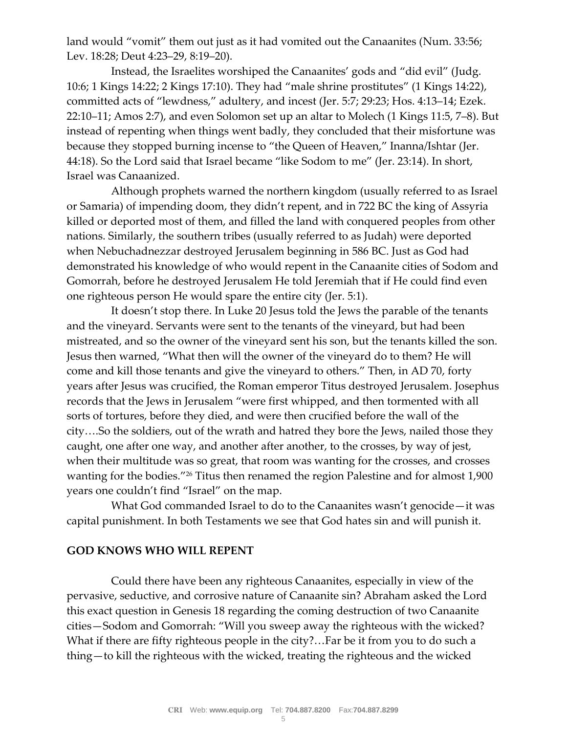land would "vomit" them out just as it had vomited out the Canaanites ([Num. 33:56;](http://biblia.com/bible/nkjv/Num.%2033.56) [Lev. 18:28;](http://biblia.com/bible/nkjv/Lev.%2018.28) [Deut 4:23](http://biblia.com/bible/nkjv/Deut%204.23%25E2%2580%259329)–29, [8:19](http://biblia.com/bible/nkjv/Deut%208.19%25E2%2580%259320)–20).

 Instead, the Israelites worshiped the Canaanites' gods and "did evil" ([Judg.](http://biblia.com/bible/nkjv/Judg.%2010.6)  [10:6;](http://biblia.com/bible/nkjv/Judg.%2010.6) [1 Kings 14:22;](http://biblia.com/bible/nkjv/1%20Kings%2014.22) [2 Kings 17:10](http://biblia.com/bible/nkjv/2%20Kings%2017.10)). They had "male shrine prostitutes" (1 [Kings 14:22\)](http://biblia.com/bible/nkjv/1%20Kings%2014.22), committed acts of "lewdness," adultery, and incest ([Jer. 5:7;](http://biblia.com/bible/nkjv/Jer.%205.7) [29:23;](http://biblia.com/bible/nkjv/Jer%2029.23) [Hos. 4:13](http://biblia.com/bible/nkjv/Hos.%204.13%25E2%2580%259314)–14; [Ezek.](http://biblia.com/bible/nkjv/Ezek.%2022.10%25E2%2580%259311)  [22:10](http://biblia.com/bible/nkjv/Ezek.%2022.10%25E2%2580%259311)–11; [Amos 2:7\)](http://biblia.com/bible/nkjv/Amos%202.7), and even Solomon set up an altar to Molech [\(1 Kings 11:5,](http://biblia.com/bible/nkjv/1%20Kings%2011.5) 7–[8\)](http://biblia.com/bible/nkjv/1%20Kings%2011.7%25E2%2580%25938). But instead of repenting when things went badly, they concluded that their misfortune was because they stopped burning incense to "the Queen of Heaven," Inanna/Ishtar ([Jer.](http://biblia.com/bible/nkjv/Jer.%2044.18)  [44:18](http://biblia.com/bible/nkjv/Jer.%2044.18)). So the Lord said that Israel became "like Sodom to me" ([Jer. 23:14\)](http://biblia.com/bible/nkjv/Jer.%2023.14). In short, Israel was Canaanized.

 Although prophets warned the northern kingdom (usually referred to as Israel or Samaria) of impending doom, they didn't repent, and in 722 BC the king of Assyria killed or deported most of them, and filled the land with conquered peoples from other nations. Similarly, the southern tribes (usually referred to as Judah) were deported when Nebuchadnezzar destroyed Jerusalem beginning in 586 BC. Just as God had demonstrated his knowledge of who would repent in the Canaanite cities of Sodom and Gomorrah, before he destroyed Jerusalem He told Jeremiah that if He could find even one righteous person He would spare the entire city [\(Jer. 5:1\)](http://biblia.com/bible/nkjv/Jer.%205.1).

 It doesn't stop there. In Luke 20 Jesus told the Jews the parable of the tenants and the vineyard. Servants were sent to the tenants of the vineyard, but had been mistreated, and so the owner of the vineyard sent his son, but the tenants killed the son. Jesus then warned, "What then will the owner of the vineyard do to them? He will come and kill those tenants and give the vineyard to others." Then, in AD 70, forty years after Jesus was crucified, the Roman emperor Titus destroyed Jerusalem. Josephus records that the Jews in Jerusalem "were first whipped, and then tormented with all sorts of tortures, before they died, and were then crucified before the wall of the city….So the soldiers, out of the wrath and hatred they bore the Jews, nailed those they caught, one after one way, and another after another, to the crosses, by way of jest, when their multitude was so great, that room was wanting for the crosses, and crosses wanting for the bodies."<sup>26</sup> Titus then renamed the region Palestine and for almost 1,900 years one couldn't find "Israel" on the map.

 What God commanded Israel to do to the Canaanites wasn't genocide—it was capital punishment. In both Testaments we see that God hates sin and will punish it.

## **GOD KNOWS WHO WILL REPENT**

 Could there have been any righteous Canaanites, especially in view of the pervasive, seductive, and corrosive nature of Canaanite sin? Abraham asked the Lord this exact question in Genesis 18 regarding the coming destruction of two Canaanite cities—Sodom and Gomorrah: "Will you sweep away the righteous with the wicked? What if there are fifty righteous people in the city?…Far be it from you to do such a thing—to kill the righteous with the wicked, treating the righteous and the wicked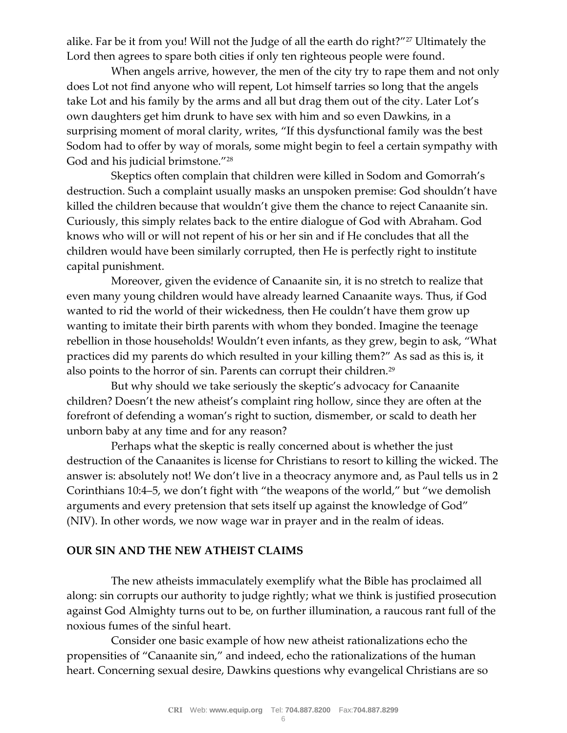alike. Far be it from you! Will not the Judge of all the earth do right?"<sup>27</sup> Ultimately the Lord then agrees to spare both cities if only ten righteous people were found.

 When angels arrive, however, the men of the city try to rape them and not only does Lot not find anyone who will repent, Lot himself tarries so long that the angels take Lot and his family by the arms and all but drag them out of the city. Later Lot's own daughters get him drunk to have sex with him and so even Dawkins, in a surprising moment of moral clarity, writes, "If this dysfunctional family was the best Sodom had to offer by way of morals, some might begin to feel a certain sympathy with God and his judicial brimstone."<sup>28</sup>

 Skeptics often complain that children were killed in Sodom and Gomorrah's destruction. Such a complaint usually masks an unspoken premise: God shouldn't have killed the children because that wouldn't give them the chance to reject Canaanite sin. Curiously, this simply relates back to the entire dialogue of God with Abraham. God knows who will or will not repent of his or her sin and if He concludes that all the children would have been similarly corrupted, then He is perfectly right to institute capital punishment.

 Moreover, given the evidence of Canaanite sin, it is no stretch to realize that even many young children would have already learned Canaanite ways. Thus, if God wanted to rid the world of their wickedness, then He couldn't have them grow up wanting to imitate their birth parents with whom they bonded. Imagine the teenage rebellion in those households! Wouldn't even infants, as they grew, begin to ask, "What practices did my parents do which resulted in your killing them?" As sad as this is, it also points to the horror of sin. Parents can corrupt their children.<sup>29</sup>

 But why should we take seriously the skeptic's advocacy for Canaanite children? Doesn't the new atheist's complaint ring hollow, since they are often at the forefront of defending a woman's right to suction, dismember, or scald to death her unborn baby at any time and for any reason?

 Perhaps what the skeptic is really concerned about is whether the just destruction of the Canaanites is license for Christians to resort to killing the wicked. The answer is: absolutely not! We don't live in a theocracy anymore and, as Paul tells us in [2](http://biblia.com/bible/nkjv/2%20Corinthians%2010.4%25E2%2580%25935)  [Corinthians 10:4](http://biblia.com/bible/nkjv/2%20Corinthians%2010.4%25E2%2580%25935)–5, we don't fight with "the weapons of the world," but "we demolish arguments and every pretension that sets itself up against the knowledge of God" (NIV). In other words, we now wage war in prayer and in the realm of ideas.

## **OUR SIN AND THE NEW ATHEIST CLAIMS**

 The new atheists immaculately exemplify what the Bible has proclaimed all along: sin corrupts our authority to judge rightly; what we think is justified prosecution against God Almighty turns out to be, on further illumination, a raucous rant full of the noxious fumes of the sinful heart.

 Consider one basic example of how new atheist rationalizations echo the propensities of "Canaanite sin," and indeed, echo the rationalizations of the human heart. Concerning sexual desire, Dawkins questions why evangelical Christians are so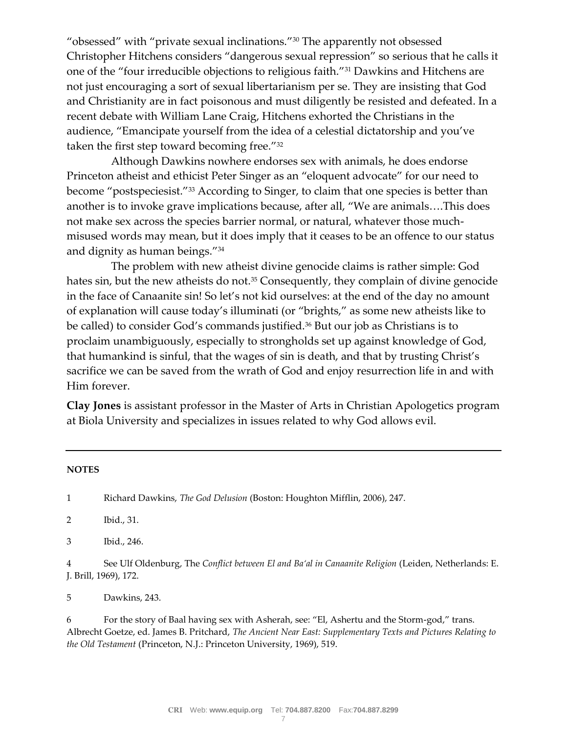"obsessed" with "private sexual inclinations."<sup>30</sup> The apparently not obsessed Christopher Hitchens considers "dangerous sexual repression" so serious that he calls it one of the "four irreducible objections to religious faith."<sup>31</sup> Dawkins and Hitchens are not just encouraging a sort of sexual libertarianism per se. They are insisting that God and Christianity are in fact poisonous and must diligently be resisted and defeated. In a recent debate with William Lane Craig, Hitchens exhorted the Christians in the audience, "Emancipate yourself from the idea of a celestial dictatorship and you've taken the first step toward becoming free."<sup>32</sup>

 Although Dawkins nowhere endorses sex with animals, he does endorse Princeton atheist and ethicist Peter Singer as an "eloquent advocate" for our need to become "postspeciesist."<sup>33</sup> According to Singer, to claim that one species is better than another is to invoke grave implications because, after all, "We are animals….This does not make sex across the species barrier normal, or natural, whatever those muchmisused words may mean, but it does imply that it ceases to be an offence to our status and dignity as human beings."<sup>34</sup>

 The problem with new atheist divine genocide claims is rather simple: God hates sin, but the new atheists do not.<sup>35</sup> Consequently, they complain of divine genocide in the face of Canaanite sin! So let's not kid ourselves: at the end of the day no amount of explanation will cause today's illuminati (or "brights," as some new atheists like to be called) to consider God's commands justified.<sup>36</sup> But our job as Christians is to proclaim unambiguously, especially to strongholds set up against knowledge of God, that humankind is sinful, that the wages of sin is death, and that by trusting Christ's sacrifice we can be saved from the wrath of God and enjoy resurrection life in and with Him forever.

**Clay Jones** is assistant professor in the Master of Arts in Christian Apologetics program at Biola University and specializes in issues related to why God allows evil.

#### **NOTES**

1 Richard Dawkins, *The God Delusion* (Boston: Houghton Mifflin, 2006), 247.

2 Ibid., 31.

3 Ibid., 246.

4 See Ulf Oldenburg, The *Conflict between El and Ba'al in Canaanite Religion* (Leiden, Netherlands: E. J. Brill, 1969), 172.

5 Dawkins, 243.

6 For the story of Baal having sex with Asherah, see: "El, Ashertu and the Storm-god," trans. Albrecht Goetze, ed. James B. Pritchard, *The Ancient Near East: Supplementary Texts and Pictures Relating to the Old Testament* (Princeton, N.J.: Princeton University, 1969), 519.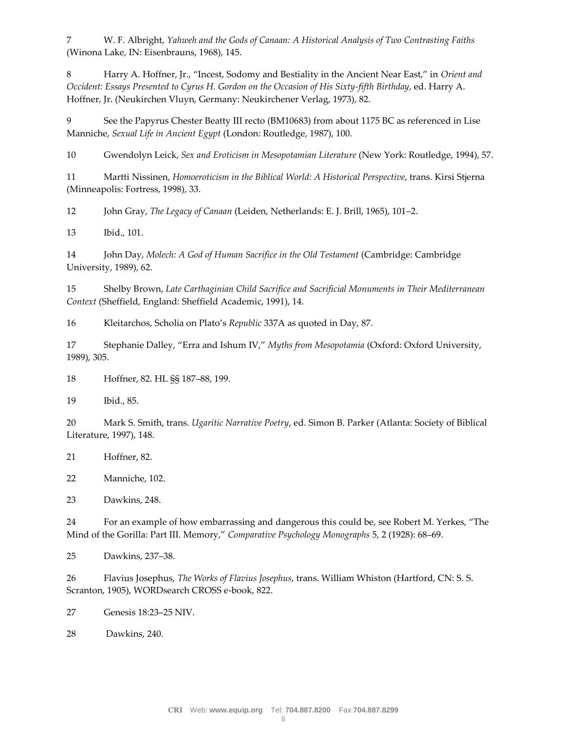7 W. F. Albright, *Yahweh and the Gods of Canaan: A Historical Analysis of Two Contrasting Faiths* (Winona Lake, IN: Eisenbrauns, 1968), 145.

8 Harry A. Hoffner, Jr., "Incest, Sodomy and Bestiality in the Ancient Near East," in *Orient and Occident: Essays Presented to Cyrus H. Gordon on the Occasion of His Sixty-fifth Birthday*, ed. Harry A. Hoffner, Jr. (Neukirchen Vluyn, Germany: Neukirchener Verlag, 1973), 82.

9 See the Papyrus Chester Beatty III recto (BM10683) from about 1175 BC as referenced in Lise Manniche, *Sexual Life in Ancient Egypt* (London: Routledge, 1987), 100.

10 Gwendolyn Leick, *Sex and Eroticism in Mesopotamian Literature* (New York: Routledge, 1994), 57.

11 Martti Nissinen, *Homoeroticism in the Biblical World: A Historical Perspective*, trans. Kirsi Stjerna (Minneapolis: Fortress, 1998), 33.

12 John Gray, *The Legacy of Canaan* (Leiden, Netherlands: E. J. Brill, 1965), 101–2.

13 Ibid., 101.

14 John Day, *Molech: A God of Human Sacrifice in the Old Testament* (Cambridge: Cambridge University, 1989), 62.

15 Shelby Brown, *Late Carthaginian Child Sacrifice and Sacrificial Monuments in Their Mediterranean Context* (Sheffield, England: Sheffield Academic, 1991), 14.

16 Kleitarchos, Scholia on Plato's *Republic* 337A as quoted in Day, 87.

17 Stephanie Dalley, "Erra and Ishum IV," *Myths from Mesopotamia* (Oxford: Oxford University, 1989), 305.

18 Hoffner, 82. HL §§ 187–88, 199.

19 Ibid., 85.

20 Mark S. Smith, trans. *Ugaritic Narrative Poetry*, ed. Simon B. Parker (Atlanta: Society of Biblical Literature, 1997), 148.

21 Hoffner, 82.

22 Manniche, 102.

23 Dawkins, 248.

24 For an example of how embarrassing and dangerous this could be, see Robert M. Yerkes, "The Mind of the Gorilla: Part III. Memory," *Comparative Psychology Monographs* 5, 2 (1928): 68–69.

25 Dawkins, 237–38.

26 Flavius Josephus, *The Works of Flavius Josephus*, trans. William Whiston (Hartford, CN: S. S. Scranton, 1905), WORDsearch CROSS e-book, 822.

27 [Genesis 18:23](http://biblia.com/bible/niv/Genesis%2018.23%25E2%2580%259325)–25 NIV.

28 Dawkins, 240.